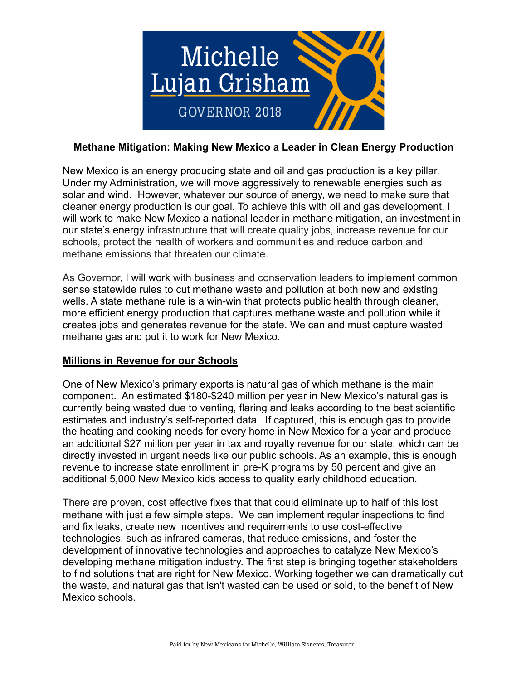

# **Methane Mitigation: Making New Mexico a Leader in Clean Energy Production**

New Mexico is an energy producing state and oil and gas production is a key pillar. Under my Administration, we will move aggressively to renewable energies such as solar and wind. However, whatever our source of energy, we need to make sure that cleaner energy production is our goal. To achieve this with oil and gas development, I will work to make New Mexico a national leader in methane mitigation, an investment in our state's energy infrastructure that will create quality jobs, increase revenue for our schools, protect the health of workers and communities and reduce carbon and methane emissions that threaten our climate.

As Governor, I will work with business and conservation leaders to implement common sense statewide rules to cut methane waste and pollution at both new and existing wells. A state methane rule is a win-win that protects public health through cleaner, more efficient energy production that captures methane waste and pollution while it creates jobs and generates revenue for the state. We can and must capture wasted methane gas and put it to work for New Mexico.

## **Millions in Revenue for our Schools**

One of New Mexico's primary exports is natural gas of which methane is the main component. An estimated \$180-\$240 million per year in New Mexico's natural gas is currently being wasted due to venting, flaring and leaks according to the best scientific estimates and industry's self-reported data. If captured, this is enough gas to provide the heating and cooking needs for every home in New Mexico for a year and produce an additional \$27 million per year in tax and royalty revenue for our state, which can be directly invested in urgent needs like our public schools. As an example, this is enough revenue to increase state enrollment in pre-K programs by 50 percent and give an additional 5,000 New Mexico kids access to quality early childhood education.

There are proven, cost effective fixes that that could eliminate up to half of this lost methane with just a few simple steps. We can implement regular inspections to find and fix leaks, create new incentives and requirements to use cost-effective technologies, such as infrared cameras, that reduce emissions, and foster the development of innovative technologies and approaches to catalyze New Mexico's developing methane mitigation industry. The first step is bringing together stakeholders to find solutions that are right for New Mexico. Working together we can dramatically cut the waste, and natural gas that isn't wasted can be used or sold, to the benefit of New Mexico schools.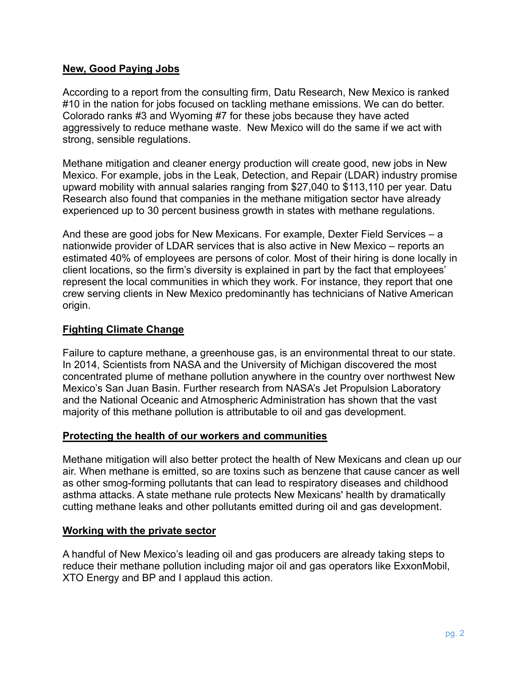## **New, Good Paying Jobs**

According to a report from the consulting firm, Datu Research, New Mexico is ranked #10 in the nation for jobs focused on tackling methane emissions. We can do better. Colorado ranks #3 and Wyoming #7 for these jobs because they have acted aggressively to reduce methane waste. New Mexico will do the same if we act with strong, sensible regulations.

Methane mitigation and cleaner energy production will create good, new jobs in New Mexico. For example, jobs in the Leak, Detection, and Repair (LDAR) industry promise upward mobility with annual salaries ranging from \$27,040 to \$113,110 per year. Datu Research also found that companies in the methane mitigation sector have already experienced up to 30 percent business growth in states with methane regulations.

And these are good jobs for New Mexicans. For example, Dexter Field Services – a nationwide provider of LDAR services that is also active in New Mexico – reports an estimated 40% of employees are persons of color. Most of their hiring is done locally in client locations, so the firm's diversity is explained in part by the fact that employees' represent the local communities in which they work. For instance, they report that one crew serving clients in New Mexico predominantly has technicians of Native American origin.

## **Fighting Climate Change**

Failure to capture methane, a greenhouse gas, is an environmental threat to our state. In 2014, Scientists from NASA and the University of Michigan discovered the most concentrated plume of methane pollution anywhere in the country over northwest New Mexico's San Juan Basin. Further research from NASA's Jet Propulsion Laboratory and the National Oceanic and Atmospheric Administration has shown that the vast majority of this methane pollution is attributable to oil and gas development.

## **Protecting the health of our workers and communities**

Methane mitigation will also better protect the health of New Mexicans and clean up our air. When methane is emitted, so are toxins such as benzene that cause cancer as well as other smog-forming pollutants that can lead to respiratory diseases and childhood asthma attacks. A state methane rule protects New Mexicans' health by dramatically cutting methane leaks and other pollutants emitted during oil and gas development.

## **Working with the private sector**

A handful of New Mexico's leading oil and gas producers are already taking steps to reduce their methane pollution including major oil and gas operators like ExxonMobil, XTO Energy and BP and I applaud this action.